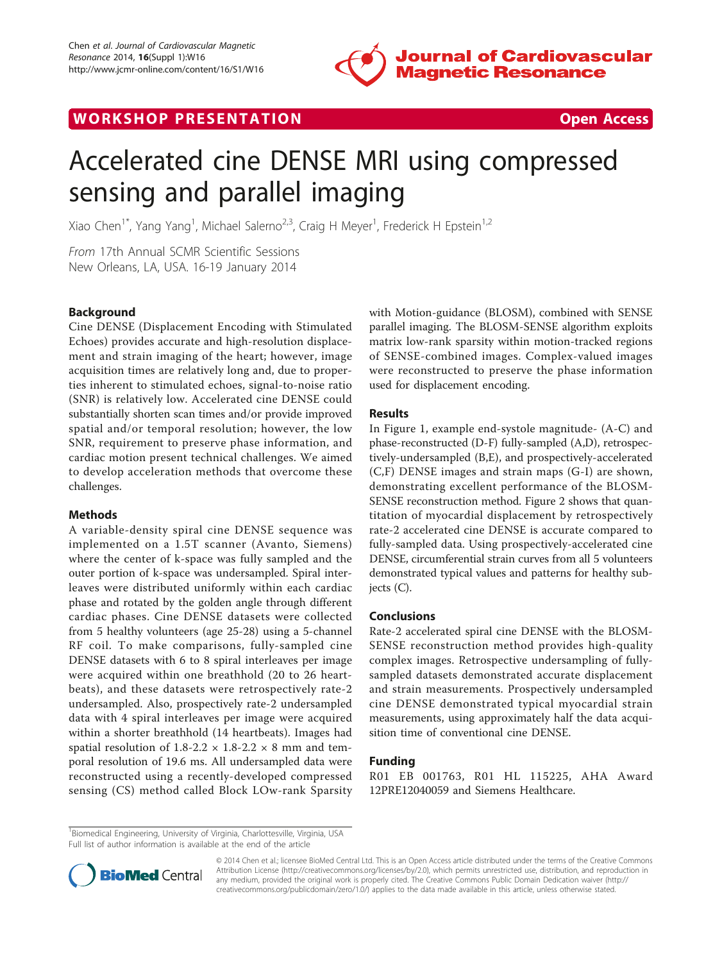



# Accelerated cine DENSE MRI using compressed sensing and parallel imaging

Xiao Chen<sup>1\*</sup>, Yang Yang<sup>1</sup>, Michael Salerno<sup>2,3</sup>, Craig H Meyer<sup>1</sup>, Frederick H Epstein<sup>1,2</sup>

From 17th Annual SCMR Scientific Sessions New Orleans, LA, USA. 16-19 January 2014

# **Background**

Cine DENSE (Displacement Encoding with Stimulated Echoes) provides accurate and high-resolution displacement and strain imaging of the heart; however, image acquisition times are relatively long and, due to properties inherent to stimulated echoes, signal-to-noise ratio (SNR) is relatively low. Accelerated cine DENSE could substantially shorten scan times and/or provide improved spatial and/or temporal resolution; however, the low SNR, requirement to preserve phase information, and cardiac motion present technical challenges. We aimed to develop acceleration methods that overcome these challenges.

## Methods

A variable-density spiral cine DENSE sequence was implemented on a 1.5T scanner (Avanto, Siemens) where the center of k-space was fully sampled and the outer portion of k-space was undersampled. Spiral interleaves were distributed uniformly within each cardiac phase and rotated by the golden angle through different cardiac phases. Cine DENSE datasets were collected from 5 healthy volunteers (age 25-28) using a 5-channel RF coil. To make comparisons, fully-sampled cine DENSE datasets with 6 to 8 spiral interleaves per image were acquired within one breathhold (20 to 26 heartbeats), and these datasets were retrospectively rate-2 undersampled. Also, prospectively rate-2 undersampled data with 4 spiral interleaves per image were acquired within a shorter breathhold (14 heartbeats). Images had spatial resolution of  $1.8-2.2 \times 1.8-2.2 \times 8$  mm and temporal resolution of 19.6 ms. All undersampled data were reconstructed using a recently-developed compressed sensing (CS) method called Block LOw-rank Sparsity with Motion-guidance (BLOSM), combined with SENSE parallel imaging. The BLOSM-SENSE algorithm exploits matrix low-rank sparsity within motion-tracked regions of SENSE-combined images. Complex-valued images were reconstructed to preserve the phase information used for displacement encoding.

## Results

In Figure [1](#page-1-0), example end-systole magnitude- (A-C) and phase-reconstructed (D-F) fully-sampled (A,D), retrospectively-undersampled (B,E), and prospectively-accelerated (C,F) DENSE images and strain maps (G-I) are shown, demonstrating excellent performance of the BLOSM-SENSE reconstruction method. Figure [2](#page-2-0) shows that quantitation of myocardial displacement by retrospectively rate-2 accelerated cine DENSE is accurate compared to fully-sampled data. Using prospectively-accelerated cine DENSE, circumferential strain curves from all 5 volunteers demonstrated typical values and patterns for healthy subjects (C).

#### Conclusions

Rate-2 accelerated spiral cine DENSE with the BLOSM-SENSE reconstruction method provides high-quality complex images. Retrospective undersampling of fullysampled datasets demonstrated accurate displacement and strain measurements. Prospectively undersampled cine DENSE demonstrated typical myocardial strain measurements, using approximately half the data acquisition time of conventional cine DENSE.

#### Funding

R01 EB 001763, R01 HL 115225, AHA Award 12PRE12040059 and Siemens Healthcare.

<sup>&</sup>lt;sup>1</sup>Biomedical Engineering, University of Virginia, Charlottesville, Virginia, USA Full list of author information is available at the end of the article



© 2014 Chen et al.; licensee BioMed Central Ltd. This is an Open Access article distributed under the terms of the Creative Commons Attribution License [\(http://creativecommons.org/licenses/by/2.0](http://creativecommons.org/licenses/by/2.0)), which permits unrestricted use, distribution, and reproduction in any medium, provided the original work is properly cited. The Creative Commons Public Domain Dedication waiver [\(http://](http://creativecommons.org/publicdomain/zero/1.0/) [creativecommons.org/publicdomain/zero/1.0/](http://creativecommons.org/publicdomain/zero/1.0/)) applies to the data made available in this article, unless otherwise stated.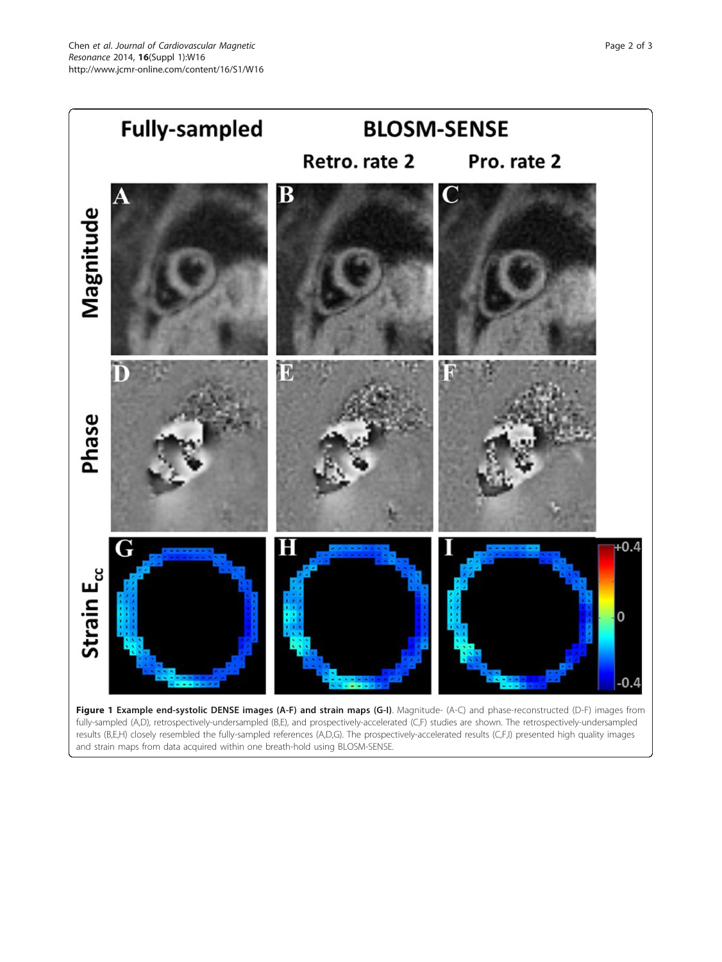<span id="page-1-0"></span>

Figure 1 Example end-systolic DENSE images (A-F) and strain maps (G-I). Magnitude- (A-C) and phase-reconstructed (D-F) images from fully-sampled (A,D), retrospectively-undersampled (B,E), and prospectively-accelerated (C,F) studies are shown. The retrospectively-undersampled results (B,E,H) closely resembled the fully-sampled references (A,D,G). The prospectively-accelerated results (C,F,I) presented high quality images and strain maps from data acquired within one breath-hold using BLOSM-SENSE.